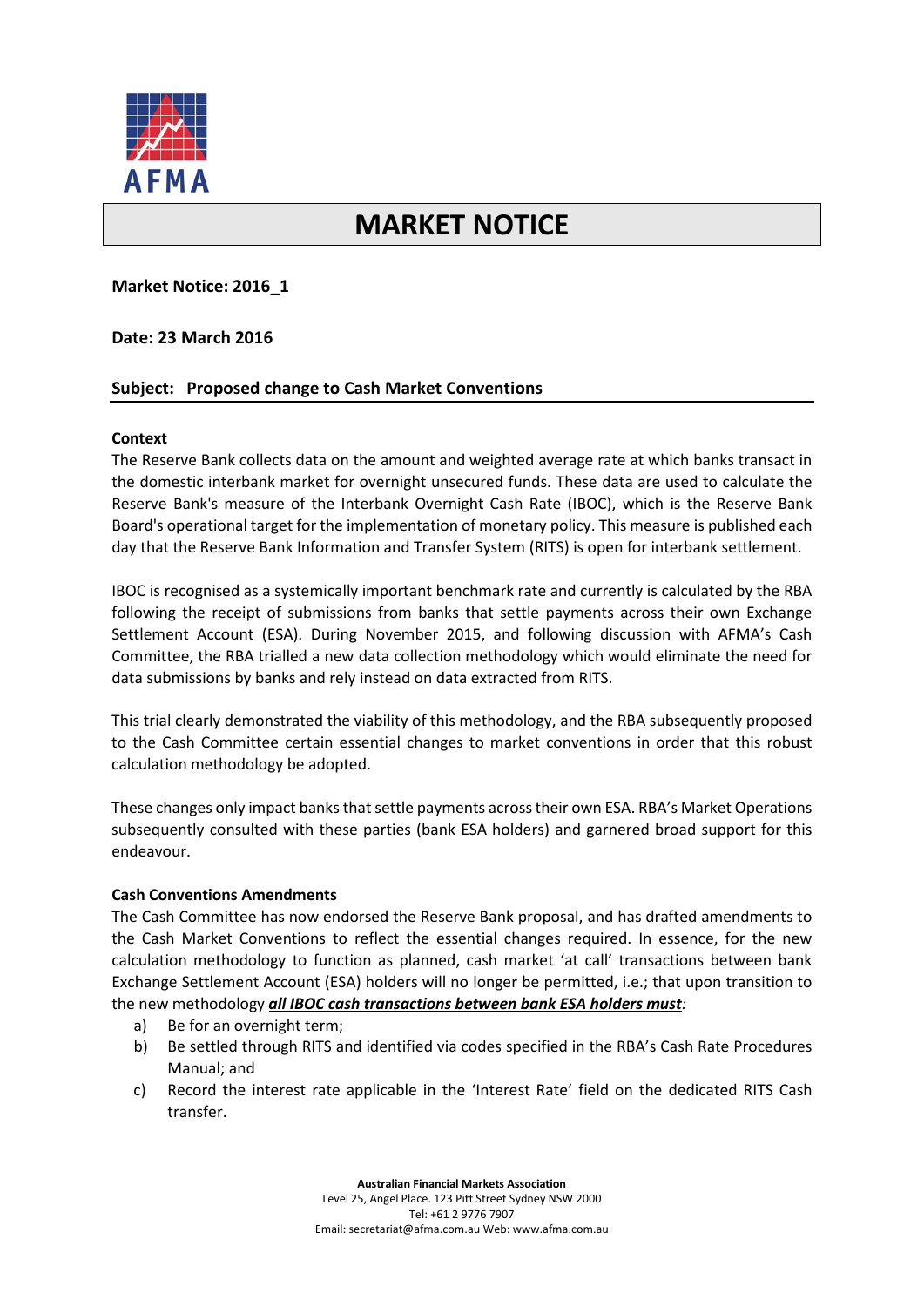

# **MARKET NOTICE**

# **Market Notice: 2016\_1**

## **Date: 23 March 2016**

# **Subject: Proposed change to Cash Market Conventions**

### **Context**

The Reserve Bank collects data on the amount and weighted average rate at which banks transact in the domestic interbank market for overnight unsecured funds. These data are used to calculate the Reserve Bank's measure of the Interbank Overnight Cash Rate (IBOC), which is the Reserve Bank Board's operational target for the implementation of monetary policy. This measure is published each day that the Reserve Bank Information and Transfer System (RITS) is open for interbank settlement.

IBOC is recognised as a systemically important benchmark rate and currently is calculated by the RBA following the receipt of submissions from banks that settle payments across their own Exchange Settlement Account (ESA). During November 2015, and following discussion with AFMA's Cash Committee, the RBA trialled a new data collection methodology which would eliminate the need for data submissions by banks and rely instead on data extracted from RITS.

This trial clearly demonstrated the viability of this methodology, and the RBA subsequently proposed to the Cash Committee certain essential changes to market conventions in order that this robust calculation methodology be adopted.

These changes only impact banks that settle payments across their own ESA. RBA's Market Operations subsequently consulted with these parties (bank ESA holders) and garnered broad support for this endeavour.

### **Cash Conventions Amendments**

The Cash Committee has now endorsed the Reserve Bank proposal, and has drafted amendments to the Cash Market Conventions to reflect the essential changes required. In essence, for the new calculation methodology to function as planned, cash market 'at call' transactions between bank Exchange Settlement Account (ESA) holders will no longer be permitted, i.e.; that upon transition to the new methodology *all IBOC cash transactions between bank ESA holders must:*

- a) Be for an overnight term;
- b) Be settled through RITS and identified via codes specified in the RBA's Cash Rate Procedures Manual; and
- c) Record the interest rate applicable in the 'Interest Rate' field on the dedicated RITS Cash transfer.